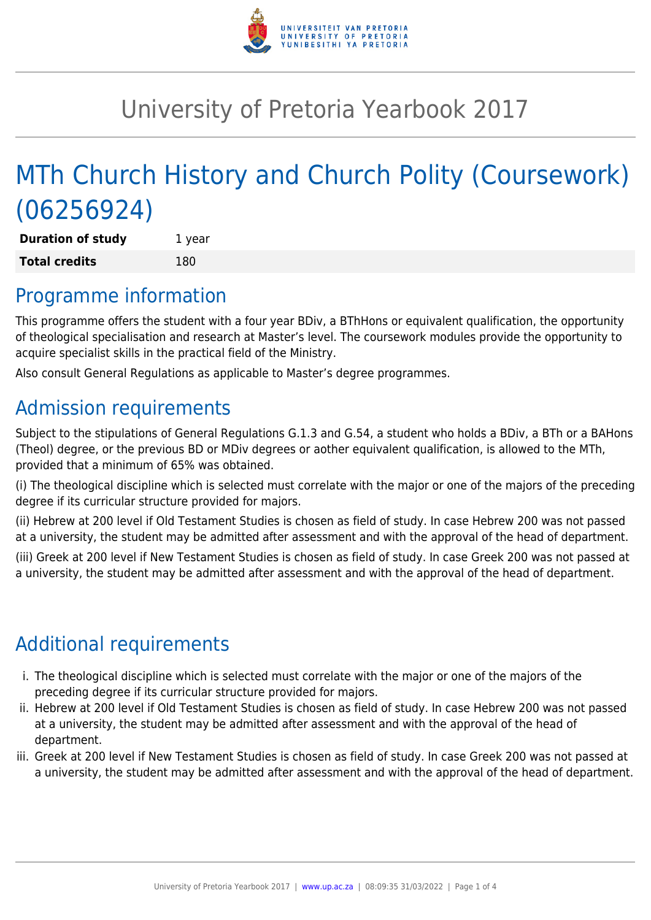

# University of Pretoria Yearbook 2017

# MTh Church History and Church Polity (Coursework) (06256924)

**Duration of study** 1 year **Total credits** 180

### Programme information

This programme offers the student with a four year BDiv, a BThHons or equivalent qualification, the opportunity of theological specialisation and research at Master's level. The coursework modules provide the opportunity to acquire specialist skills in the practical field of the Ministry.

Also consult General Regulations as applicable to Master's degree programmes.

## Admission requirements

Subject to the stipulations of General Regulations G.1.3 and G.54, a student who holds a BDiv, a BTh or a BAHons (Theol) degree, or the previous BD or MDiv degrees or aother equivalent qualification, is allowed to the MTh, provided that a minimum of 65% was obtained.

(i) The theological discipline which is selected must correlate with the major or one of the majors of the preceding degree if its curricular structure provided for majors.

(ii) Hebrew at 200 level if Old Testament Studies is chosen as field of study. In case Hebrew 200 was not passed at a university, the student may be admitted after assessment and with the approval of the head of department.

(iii) Greek at 200 level if New Testament Studies is chosen as field of study. In case Greek 200 was not passed at a university, the student may be admitted after assessment and with the approval of the head of department.

# Additional requirements

- i. The theological discipline which is selected must correlate with the major or one of the majors of the preceding degree if its curricular structure provided for majors.
- ii. Hebrew at 200 level if Old Testament Studies is chosen as field of study. In case Hebrew 200 was not passed at a university, the student may be admitted after assessment and with the approval of the head of department.
- iii. Greek at 200 level if New Testament Studies is chosen as field of study. In case Greek 200 was not passed at a university, the student may be admitted after assessment and with the approval of the head of department.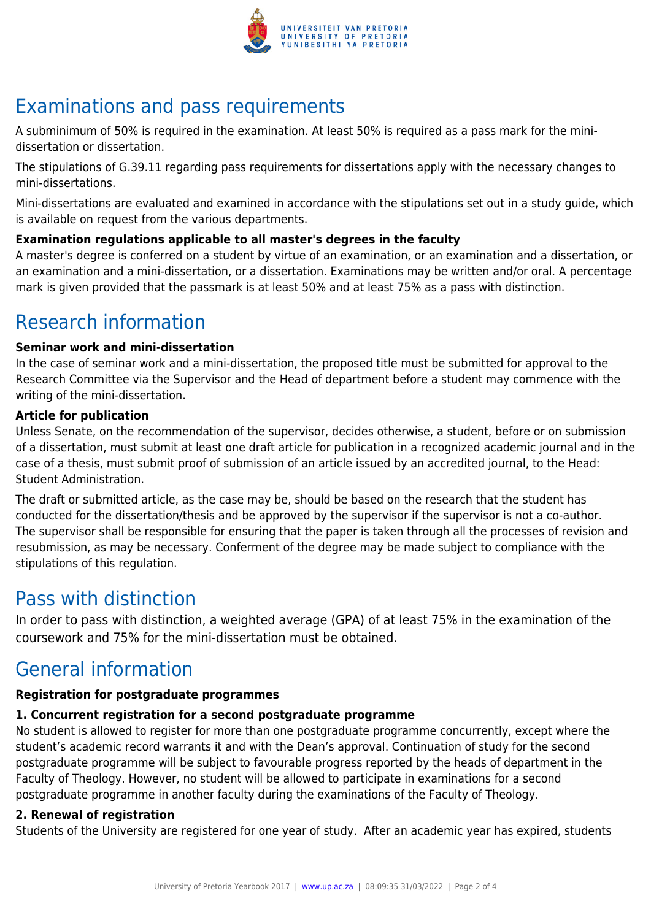

# Examinations and pass requirements

A subminimum of 50% is required in the examination. At least 50% is required as a pass mark for the minidissertation or dissertation.

The stipulations of G.39.11 regarding pass requirements for dissertations apply with the necessary changes to mini-dissertations.

Mini-dissertations are evaluated and examined in accordance with the stipulations set out in a study guide, which is available on request from the various departments.

### **Examination regulations applicable to all master's degrees in the faculty**

A master's degree is conferred on a student by virtue of an examination, or an examination and a dissertation, or an examination and a mini-dissertation, or a dissertation. Examinations may be written and/or oral. A percentage mark is given provided that the passmark is at least 50% and at least 75% as a pass with distinction.

### Research information

#### **Seminar work and mini-dissertation**

In the case of seminar work and a mini-dissertation, the proposed title must be submitted for approval to the Research Committee via the Supervisor and the Head of department before a student may commence with the writing of the mini-dissertation.

#### **Article for publication**

Unless Senate, on the recommendation of the supervisor, decides otherwise, a student, before or on submission of a dissertation, must submit at least one draft article for publication in a recognized academic journal and in the case of a thesis, must submit proof of submission of an article issued by an accredited journal, to the Head: Student Administration.

The draft or submitted article, as the case may be, should be based on the research that the student has conducted for the dissertation/thesis and be approved by the supervisor if the supervisor is not a co-author. The supervisor shall be responsible for ensuring that the paper is taken through all the processes of revision and resubmission, as may be necessary. Conferment of the degree may be made subject to compliance with the stipulations of this regulation.

### Pass with distinction

In order to pass with distinction, a weighted average (GPA) of at least 75% in the examination of the coursework and 75% for the mini-dissertation must be obtained.

### General information

### **Registration for postgraduate programmes**

### **1. Concurrent registration for a second postgraduate programme**

No student is allowed to register for more than one postgraduate programme concurrently, except where the student's academic record warrants it and with the Dean's approval. Continuation of study for the second postgraduate programme will be subject to favourable progress reported by the heads of department in the Faculty of Theology. However, no student will be allowed to participate in examinations for a second postgraduate programme in another faculty during the examinations of the Faculty of Theology.

### **2. Renewal of registration**

Students of the University are registered for one year of study. After an academic year has expired, students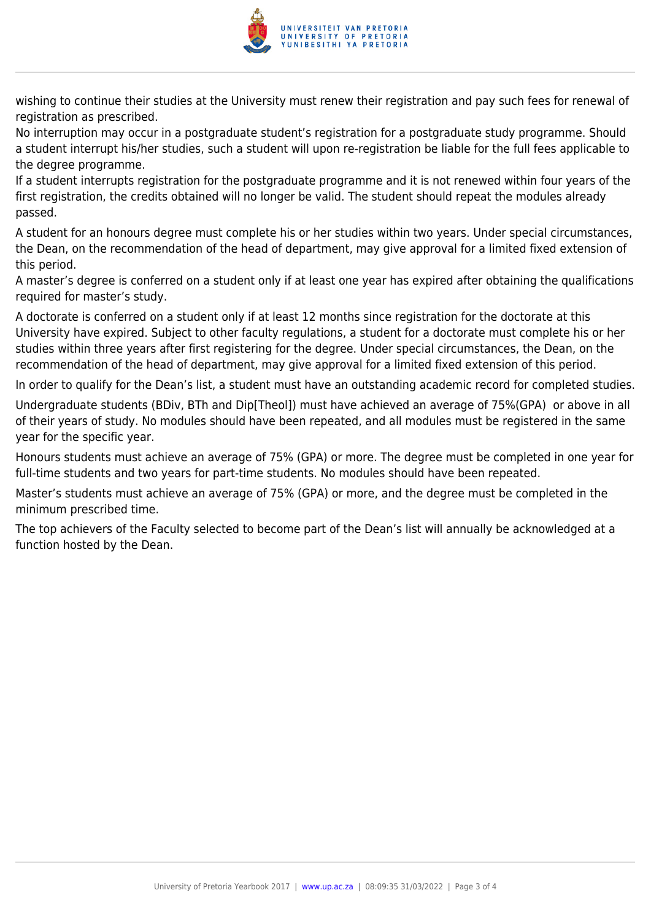

wishing to continue their studies at the University must renew their registration and pay such fees for renewal of registration as prescribed.

No interruption may occur in a postgraduate student's registration for a postgraduate study programme. Should a student interrupt his/her studies, such a student will upon re-registration be liable for the full fees applicable to the degree programme.

If a student interrupts registration for the postgraduate programme and it is not renewed within four years of the first registration, the credits obtained will no longer be valid. The student should repeat the modules already passed.

A student for an honours degree must complete his or her studies within two years. Under special circumstances, the Dean, on the recommendation of the head of department, may give approval for a limited fixed extension of this period.

A master's degree is conferred on a student only if at least one year has expired after obtaining the qualifications required for master's study.

A doctorate is conferred on a student only if at least 12 months since registration for the doctorate at this University have expired. Subject to other faculty regulations, a student for a doctorate must complete his or her studies within three years after first registering for the degree. Under special circumstances, the Dean, on the recommendation of the head of department, may give approval for a limited fixed extension of this period.

In order to qualify for the Dean's list, a student must have an outstanding academic record for completed studies.

Undergraduate students (BDiv, BTh and Dip[Theol]) must have achieved an average of 75%(GPA) or above in all of their years of study. No modules should have been repeated, and all modules must be registered in the same year for the specific year.

Honours students must achieve an average of 75% (GPA) or more. The degree must be completed in one year for full-time students and two years for part-time students. No modules should have been repeated.

Master's students must achieve an average of 75% (GPA) or more, and the degree must be completed in the minimum prescribed time.

The top achievers of the Faculty selected to become part of the Dean's list will annually be acknowledged at a function hosted by the Dean.